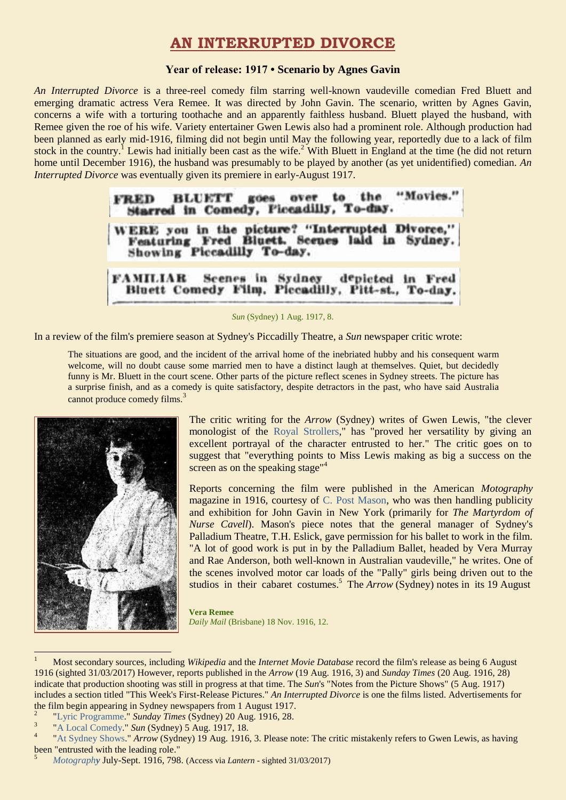## **AN INTERRUPTED DIVORCE**

#### **Year of release: 1917 • Scenario by Agnes Gavin**

*An Interrupted Divorce* is a three-reel comedy film starring well-known vaudeville comedian Fred Bluett and emerging dramatic actress Vera Remee. It was directed by John Gavin. The scenario, written by Agnes Gavin, concerns a wife with a torturing toothache and an apparently faithless husband. Bluett played the husband, with Remee given the roe of his wife. Variety entertainer Gwen Lewis also had a prominent role. Although production had been planned as early mid-1916, filming did not begin until May the following year, reportedly due to a lack of film stock in the country.<sup>1</sup> Lewis had initially been cast as the wife.<sup>2</sup> With Bluett in England at the time (he did not return home until December 1916), the husband was presumably to be played by another (as yet unidentified) comedian. *An Interrupted Divorce* was eventually given its premiere in early-August 1917.

| Starred in Comedy, Piccadilly, To-day. | FRED BLUETT goes over to the "Movies."                                                           |
|----------------------------------------|--------------------------------------------------------------------------------------------------|
| Showing Piccadilly To-day.             | WERE you in the picture? "Interrupted Divorce."<br>Featuring Fred Bluett. Scenes laid in Sydney. |
|                                        | FAMILIAR Scenes in Sydney depicted in Fred<br>Bluett Comedy Film, Piccadilly, Pitt-st., To-day.  |

*Sun* (Sydney) 1 Aug. 1917, 8.

In a review of the film's premiere season at Sydney's Piccadilly Theatre, a *Sun* newspaper critic wrote:

The situations are good, and the incident of the arrival home of the inebriated hubby and his consequent warm welcome, will no doubt cause some married men to have a distinct laugh at themselves. Quiet, but decidedly funny is Mr. Bluett in the court scene. Other parts of the picture reflect scenes in Sydney streets. The picture has a surprise finish, and as a comedy is quite satisfactory, despite detractors in the past, who have said Australia cannot produce comedy films.<sup>3</sup>



1

The critic writing for the *Arrow* (Sydney) writes of Gwen Lewis, "the clever monologist of the [Royal Strollers,](https://ozvta.com/troupes-m-r/)" has "proved her versatility by giving an excellent portrayal of the character entrusted to her." The critic goes on to suggest that "everything points to Miss Lewis making as big a success on the screen as on the speaking stage"<sup>4</sup>

Reports concerning the film were published in the American *Motography*  magazine in 1916, courtesy of [C. Post Mason,](https://ozvta.com/practitioners-m/) who was then handling publicity and exhibition for John Gavin in New York (primarily for *The Martyrdom of Nurse Cavell*). Mason's piece notes that the general manager of Sydney's Palladium Theatre, T.H. Eslick, gave permission for his ballet to work in the film. "A lot of good work is put in by the Palladium Ballet, headed by Vera Murray and Rae Anderson, both well-known in Australian vaudeville," he writes. One of the scenes involved motor car loads of the "Pally" girls being driven out to the studios in their cabaret costumes.<sup>5</sup> The *Arrow* (Sydney) notes in its 19 August

**Vera Remee** *Daily Mail* (Brisbane) 18 Nov. 1916, 12.

<sup>1</sup> Most secondary sources, including *Wikipedia* and the *Internet Movie Database* record the film's release as being 6 August 1916 (sighted 31/03/2017) However, reports published in the *Arrow* (19 Aug. 1916, 3) and *Sunday Times* (20 Aug. 1916, 28) indicate that production shooting was still in progress at that time. The *Sun*'s "Notes from the Picture Shows" (5 Aug. 1917) includes a section titled "This Week's First-Release Pictures." *An Interrupted Divorce* is one the films listed. Advertisements for the film begin appearing in Sydney newspapers from 1 August 1917. 2

[<sup>&</sup>quot;Lyric Programme.](https://trove.nla.gov.au/newspaper/article/121338491)" *Sunday Times* (Sydney) 20 Aug. 1916, 28.

<sup>3</sup> ["A Local Comedy.](http://trove.nla.gov.au/newspaper/article/221400628)" *Sun* (Sydney) 5 Aug. 1917, 18.

<sup>4</sup> ["At Sydney Shows."](http://trove.nla.gov.au/newspaper/article/115737062) *Arrow* (Sydney) 19 Aug. 1916, 3. Please note: The critic mistakenly refers to Gwen Lewis, as having been "entrusted with the leading role."

<sup>5</sup> *[Motograph](http://lantern.mediahist.org/catalog/motography161elec_0858)y* July-Sept. 1916, 798. (Access via *Lantern* - sighted 31/03/2017)